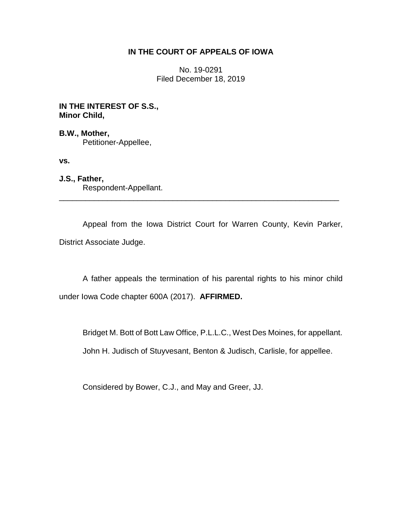## **IN THE COURT OF APPEALS OF IOWA**

No. 19-0291 Filed December 18, 2019

**IN THE INTEREST OF S.S., Minor Child,**

**B.W., Mother,** Petitioner-Appellee,

**vs.**

**J.S., Father,** Respondent-Appellant.

Appeal from the Iowa District Court for Warren County, Kevin Parker, District Associate Judge.

\_\_\_\_\_\_\_\_\_\_\_\_\_\_\_\_\_\_\_\_\_\_\_\_\_\_\_\_\_\_\_\_\_\_\_\_\_\_\_\_\_\_\_\_\_\_\_\_\_\_\_\_\_\_\_\_\_\_\_\_\_\_\_\_

A father appeals the termination of his parental rights to his minor child under Iowa Code chapter 600A (2017). **AFFIRMED.**

Bridget M. Bott of Bott Law Office, P.L.L.C., West Des Moines, for appellant. John H. Judisch of Stuyvesant, Benton & Judisch, Carlisle, for appellee.

Considered by Bower, C.J., and May and Greer, JJ.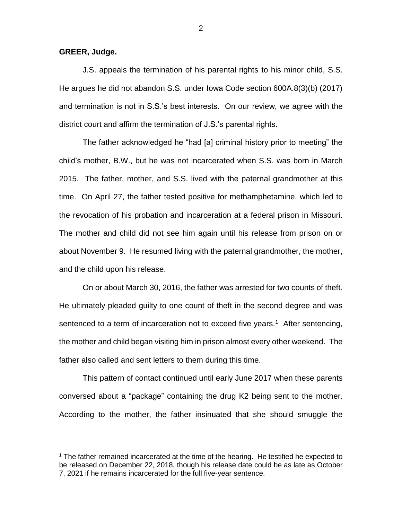**GREER, Judge.**

 $\overline{a}$ 

J.S. appeals the termination of his parental rights to his minor child, S.S. He argues he did not abandon S.S. under Iowa Code section 600A.8(3)(b) (2017) and termination is not in S.S.'s best interests. On our review, we agree with the district court and affirm the termination of J.S.'s parental rights.

The father acknowledged he "had [a] criminal history prior to meeting" the child's mother, B.W., but he was not incarcerated when S.S. was born in March 2015. The father, mother, and S.S. lived with the paternal grandmother at this time. On April 27, the father tested positive for methamphetamine, which led to the revocation of his probation and incarceration at a federal prison in Missouri. The mother and child did not see him again until his release from prison on or about November 9. He resumed living with the paternal grandmother, the mother, and the child upon his release.

On or about March 30, 2016, the father was arrested for two counts of theft. He ultimately pleaded guilty to one count of theft in the second degree and was sentenced to a term of incarceration not to exceed five years.<sup>1</sup> After sentencing, the mother and child began visiting him in prison almost every other weekend. The father also called and sent letters to them during this time.

This pattern of contact continued until early June 2017 when these parents conversed about a "package" containing the drug K2 being sent to the mother. According to the mother, the father insinuated that she should smuggle the

<sup>1</sup> The father remained incarcerated at the time of the hearing. He testified he expected to be released on December 22, 2018, though his release date could be as late as October 7, 2021 if he remains incarcerated for the full five-year sentence.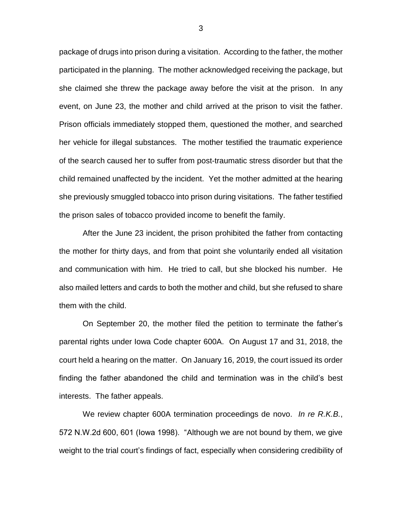package of drugs into prison during a visitation. According to the father, the mother participated in the planning. The mother acknowledged receiving the package, but she claimed she threw the package away before the visit at the prison. In any event, on June 23, the mother and child arrived at the prison to visit the father. Prison officials immediately stopped them, questioned the mother, and searched her vehicle for illegal substances. The mother testified the traumatic experience of the search caused her to suffer from post-traumatic stress disorder but that the child remained unaffected by the incident. Yet the mother admitted at the hearing she previously smuggled tobacco into prison during visitations. The father testified the prison sales of tobacco provided income to benefit the family.

After the June 23 incident, the prison prohibited the father from contacting the mother for thirty days, and from that point she voluntarily ended all visitation and communication with him. He tried to call, but she blocked his number. He also mailed letters and cards to both the mother and child, but she refused to share them with the child.

On September 20, the mother filed the petition to terminate the father's parental rights under Iowa Code chapter 600A. On August 17 and 31, 2018, the court held a hearing on the matter. On January 16, 2019, the court issued its order finding the father abandoned the child and termination was in the child's best interests. The father appeals.

We review chapter 600A termination proceedings de novo. *In re R.K.B.*, 572 N.W.2d 600, 601 (Iowa 1998). "Although we are not bound by them, we give weight to the trial court's findings of fact, especially when considering credibility of

3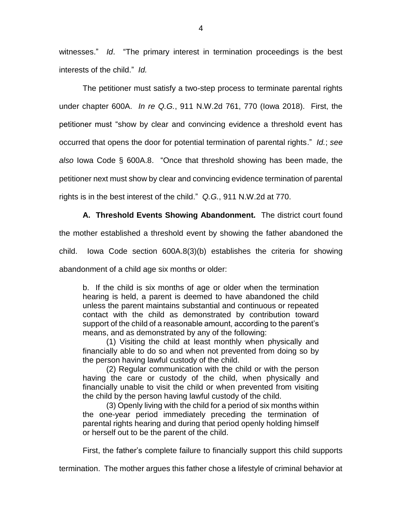witnesses." *Id*. "The primary interest in termination proceedings is the best interests of the child." *Id.*

The petitioner must satisfy a two-step process to terminate parental rights under chapter 600A. *In re Q.G.*, 911 N.W.2d 761, 770 (Iowa 2018). First, the petitioner must "show by clear and convincing evidence a threshold event has occurred that opens the door for potential termination of parental rights." *Id.*; *see also* Iowa Code § 600A.8. "Once that threshold showing has been made, the petitioner next must show by clear and convincing evidence termination of parental rights is in the best interest of the child." *Q.G.*, 911 N.W.2d at 770.

**A. Threshold Events Showing Abandonment.** The district court found

the mother established a threshold event by showing the father abandoned the

child. Iowa Code section 600A.8(3)(b) establishes the criteria for showing

abandonment of a child age six months or older:

b. If the child is six months of age or older when the termination hearing is held, a parent is deemed to have abandoned the child unless the parent maintains substantial and continuous or repeated contact with the child as demonstrated by contribution toward support of the child of a reasonable amount, according to the parent's means, and as demonstrated by any of the following:

(1) Visiting the child at least monthly when physically and financially able to do so and when not prevented from doing so by the person having lawful custody of the child.

(2) Regular communication with the child or with the person having the care or custody of the child, when physically and financially unable to visit the child or when prevented from visiting the child by the person having lawful custody of the child.

(3) Openly living with the child for a period of six months within the one-year period immediately preceding the termination of parental rights hearing and during that period openly holding himself or herself out to be the parent of the child.

First, the father's complete failure to financially support this child supports

termination. The mother argues this father chose a lifestyle of criminal behavior at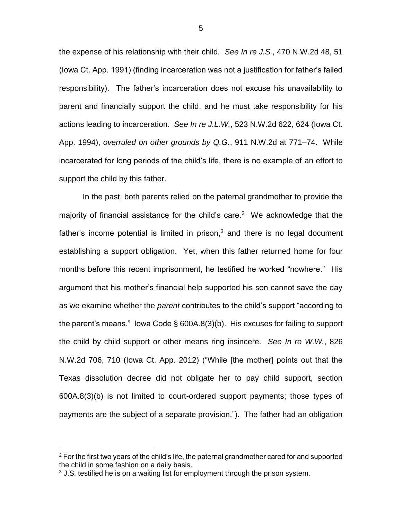the expense of his relationship with their child. *See In re J.S.*, 470 N.W.2d 48, 51 (Iowa Ct. App. 1991) (finding incarceration was not a justification for father's failed responsibility). The father's incarceration does not excuse his unavailability to parent and financially support the child, and he must take responsibility for his actions leading to incarceration. *See In re J.L.W.*, 523 N.W.2d 622, 624 (Iowa Ct. App. 1994), *overruled on other grounds by Q.G.*, 911 N.W.2d at 771–74. While incarcerated for long periods of the child's life, there is no example of an effort to support the child by this father.

In the past, both parents relied on the paternal grandmother to provide the majority of financial assistance for the child's care.<sup>2</sup> We acknowledge that the father's income potential is limited in prison, $3$  and there is no legal document establishing a support obligation. Yet, when this father returned home for four months before this recent imprisonment, he testified he worked "nowhere." His argument that his mother's financial help supported his son cannot save the day as we examine whether the *parent* contributes to the child's support "according to the parent's means." Iowa Code § 600A.8(3)(b). His excuses for failing to support the child by child support or other means ring insincere. *See In re W.W.*, 826 N.W.2d 706, 710 (Iowa Ct. App. 2012) ("While [the mother] points out that the Texas dissolution decree did not obligate her to pay child support, section 600A.8(3)(b) is not limited to court-ordered support payments; those types of payments are the subject of a separate provision."). The father had an obligation

 $\overline{a}$ 

5

 $2$  For the first two years of the child's life, the paternal grandmother cared for and supported the child in some fashion on a daily basis.

 $3$  J.S. testified he is on a waiting list for employment through the prison system.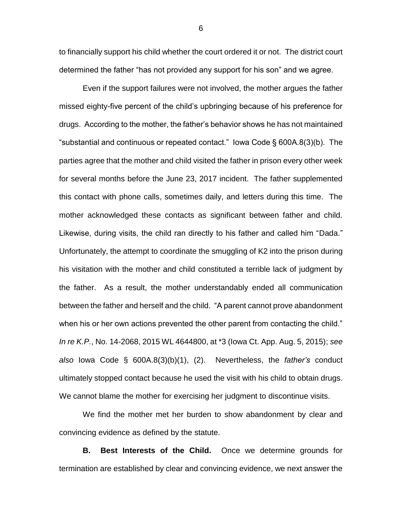to financially support his child whether the court ordered it or not. The district court determined the father "has not provided any support for his son" and we agree.

Even if the support failures were not involved, the mother argues the father missed eighty-five percent of the child's upbringing because of his preference for drugs. According to the mother, the father's behavior shows he has not maintained "substantial and continuous or repeated contact." Iowa Code § 600A.8(3)(b). The parties agree that the mother and child visited the father in prison every other week for several months before the June 23, 2017 incident. The father supplemented this contact with phone calls, sometimes daily, and letters during this time. The mother acknowledged these contacts as significant between father and child. Likewise, during visits, the child ran directly to his father and called him "Dada." Unfortunately, the attempt to coordinate the smuggling of K2 into the prison during his visitation with the mother and child constituted a terrible lack of judgment by the father. As a result, the mother understandably ended all communication between the father and herself and the child. "A parent cannot prove abandonment when his or her own actions prevented the other parent from contacting the child." *In re K.P.*, No. 14-2068, 2015 WL 4644800, at \*3 (Iowa Ct. App. Aug. 5, 2015); *see also* Iowa Code § 600A.8(3)(b)(1), (2). Nevertheless, the *father's* conduct ultimately stopped contact because he used the visit with his child to obtain drugs. We cannot blame the mother for exercising her judgment to discontinue visits.

We find the mother met her burden to show abandonment by clear and convincing evidence as defined by the statute.

**B. Best Interests of the Child.** Once we determine grounds for termination are established by clear and convincing evidence, we next answer the

6